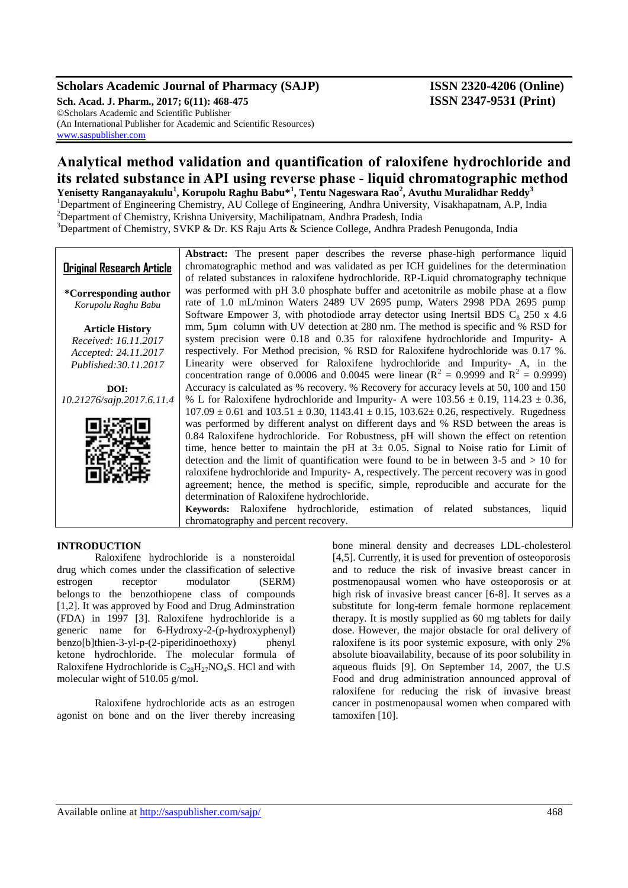# **Scholars Academic Journal of Pharmacy (SAJP) ISSN 2320-4206 (Online)**

**Sch. Acad. J. Pharm., 2017; 6(11): 468-475 ISSN 2347-9531 (Print)** ©Scholars Academic and Scientific Publisher (An International Publisher for Academic and Scientific Resources) [www.saspublisher.com](http://www.saspublisher.com/)

# **Analytical method validation and quantification of raloxifene hydrochloride and its related substance in API using reverse phase - liquid chromatographic method**

**Yenisetty Ranganayakulu<sup>1</sup> , Korupolu Raghu Babu\*<sup>1</sup> , Tentu Nageswara Rao<sup>2</sup> , Avuthu Muralidhar Reddy<sup>3</sup>** <sup>1</sup>Department of Engineering Chemistry, AU College of Engineering, Andhra University, Visakhapatnam, A.P, India <sup>2</sup>Department of Chemistry, Krishna University, Machilipatnam, Andhra Pradesh, India

<sup>3</sup>Department of Chemistry, SVKP & Dr. KS Raju Arts & Science College, Andhra Pradesh Penugonda, India

|                                  | <b>Abstract:</b> The present paper describes the reverse phase-high performance liquid                     |
|----------------------------------|------------------------------------------------------------------------------------------------------------|
| <b>Original Research Article</b> | chromatographic method and was validated as per ICH guidelines for the determination                       |
|                                  | of related substances in raloxifene hydrochloride. RP-Liquid chromatography technique                      |
| *Corresponding author            | was performed with pH 3.0 phosphate buffer and acetonitrile as mobile phase at a flow                      |
| Korupolu Raghu Babu              | rate of 1.0 mL/minon Waters 2489 UV 2695 pump, Waters 2998 PDA 2695 pump                                   |
|                                  | Software Empower 3, with photodiode array detector using Inertsil BDS $C_8$ 250 x 4.6                      |
| <b>Article History</b>           | mm, 5µm column with UV detection at 280 nm. The method is specific and % RSD for                           |
| Received: 16.11.2017             | system precision were 0.18 and 0.35 for raloxifene hydrochloride and Impurity-A                            |
| Accepted: 24.11.2017             | respectively. For Method precision, % RSD for Raloxifene hydrochloride was 0.17 %.                         |
| Published: 30.11.2017            | Linearity were observed for Raloxifene hydrochloride and Impurity- A, in the                               |
|                                  | concentration range of 0.0006 and 0.0045 were linear ( $R^2 = 0.9999$ and $R^2 = 0.99999$ )                |
| DOI:                             | Accuracy is calculated as % recovery. % Recovery for accuracy levels at 50, 100 and 150                    |
| 10.21276/sajp.2017.6.11.4        | % L for Raloxifene hydrochloride and Impurity- A were $103.56 \pm 0.19$ , $114.23 \pm 0.36$ ,              |
|                                  | $107.09 \pm 0.61$ and $103.51 \pm 0.30$ , $1143.41 \pm 0.15$ , $103.62 \pm 0.26$ , respectively. Rugedness |
|                                  | was performed by different analyst on different days and % RSD between the areas is                        |
|                                  | 0.84 Raloxifene hydrochloride. For Robustness, pH will shown the effect on retention                       |
|                                  | time, hence better to maintain the pH at $3\pm 0.05$ . Signal to Noise ratio for Limit of                  |
|                                  | detection and the limit of quantification were found to be in between $3-5$ and $> 10$ for                 |
|                                  | raloxifene hydrochloride and Impurity-A, respectively. The percent recovery was in good                    |
|                                  | agreement; hence, the method is specific, simple, reproducible and accurate for the                        |
|                                  | determination of Raloxifene hydrochloride.                                                                 |
|                                  | Keywords: Raloxifene hydrochloride, estimation of related substances,<br>liquid                            |
|                                  | chromatography and percent recovery.                                                                       |

#### **INTRODUCTION**

Raloxifene hydrochloride is a nonsteroidal drug which comes under the classification of selective estrogen receptor modulator (SERM) belongs to the benzothiopene class of compounds [1,2]. It was approved by Food and Drug Adminstration (FDA) in 1997 [3]. Raloxifene hydrochloride is a generic name for 6-Hydroxy-2-(p-hydroxyphenyl) benzo[b]thien-3-yl-p-(2-piperidinoethoxy) phenyl ketone hydrochloride. The molecular formula of Raloxifene Hydrochloride is  $C_{28}H_{27}NO_4S$ . HCl and with molecular wight of 510.05 g/mol.

Raloxifene hydrochloride acts as an estrogen agonist on bone and on the liver thereby increasing

bone mineral density and decreases LDL-cholesterol [4,5]. Currently, it is used for prevention of osteoporosis and to reduce the risk of invasive breast cancer in postmenopausal women who have osteoporosis or at high risk of invasive breast cancer [6-8]. It serves as a substitute for long-term female hormone replacement therapy. It is mostly supplied as 60 mg tablets for daily dose. However, the major obstacle for oral delivery of raloxifene is its poor systemic exposure, with only 2% absolute bioavailability, because of its poor solubility in aqueous fluids [9]. On September 14, 2007, the U.S Food and drug administration announced approval of raloxifene for reducing the risk of invasive breast cancer in postmenopausal women when compared with tamoxifen [10].

Available online at<http://saspublisher.com/sajp/> 468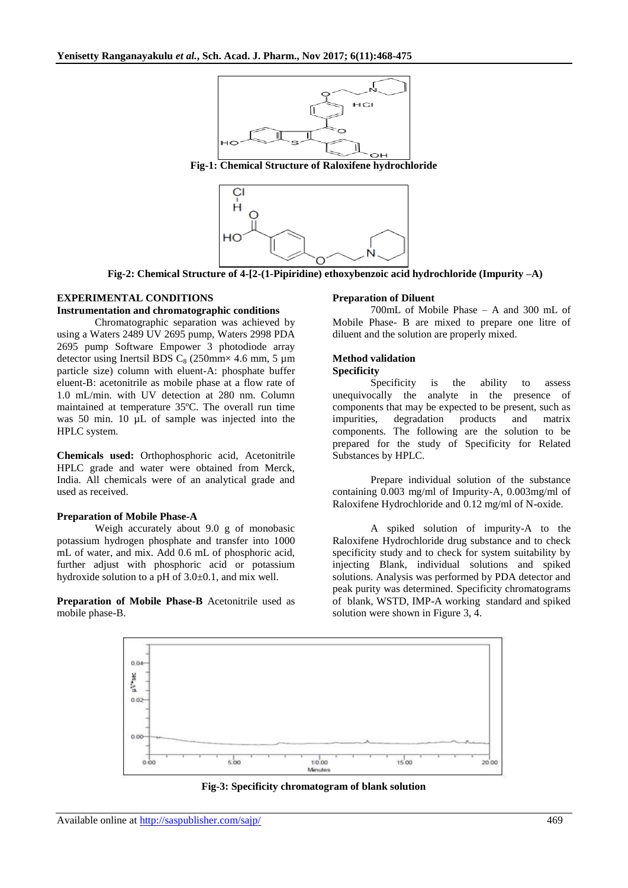

**Fig-1: Chemical Structure of Raloxifene hydrochloride**



**Fig-2: Chemical Structure of 4-[2-(1-Pipiridine) ethoxybenzoic acid hydrochloride (Impurity –A)**

# **EXPERIMENTAL CONDITIONS**

#### **Instrumentation and chromatographic conditions**

Chromatographic separation was achieved by using a Waters 2489 UV 2695 pump, Waters 2998 PDA 2695 pump Software Empower 3 photodiode array detector using Inertsil BDS  $C_8$  (250mm× 4.6 mm, 5 µm particle size) column with eluent-A: phosphate buffer eluent-B: acetonitrile as mobile phase at a flow rate of 1.0 mL/min. with UV detection at 280 nm. Column maintained at temperature 35ºC. The overall run time was 50 min. 10  $\mu$ L of sample was injected into the HPLC system.

**Chemicals used:** Orthophosphoric acid, Acetonitrile HPLC grade and water were obtained from Merck, India. All chemicals were of an analytical grade and used as received.

#### **Preparation of Mobile Phase-A**

Weigh accurately about 9.0 g of monobasic potassium hydrogen phosphate and transfer into 1000 mL of water, and mix. Add 0.6 mL of phosphoric acid, further adjust with phosphoric acid or potassium hydroxide solution to a pH of 3.0±0.1, and mix well.

**Preparation of Mobile Phase-B** Acetonitrile used as mobile phase-B.

#### **Preparation of Diluent**

700mL of Mobile Phase – A and 300 mL of Mobile Phase- B are mixed to prepare one litre of diluent and the solution are properly mixed.

# **Method validation**

#### **Specificity**

Specificity is the ability to assess unequivocally the analyte in the presence of components that may be expected to be present, such as impurities, degradation products and matrix components. The following are the solution to be prepared for the study of Specificity for Related Substances by HPLC.

Prepare individual solution of the substance containing 0.003 mg/ml of Impurity-A, 0.003mg/ml of Raloxifene Hydrochloride and 0.12 mg/ml of N-oxide.

A spiked solution of impurity-A to the Raloxifene Hydrochloride drug substance and to check specificity study and to check for system suitability by injecting Blank, individual solutions and spiked solutions. Analysis was performed by PDA detector and peak purity was determined. Specificity chromatograms of blank, WSTD, IMP-A working standard and spiked solution were shown in Figure 3, 4.



**Fig-3: Specificity chromatogram of blank solution**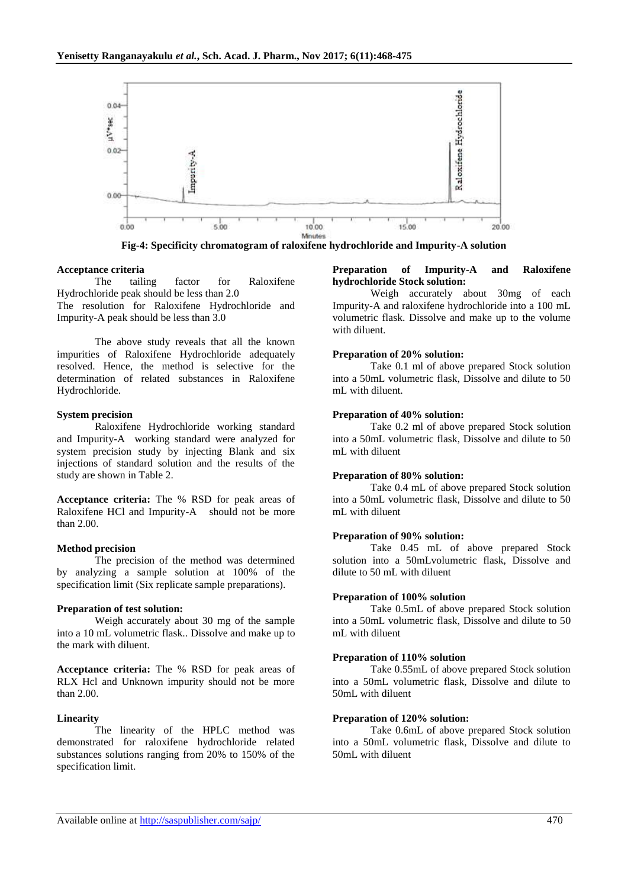

**Fig-4: Specificity chromatogram of raloxifene hydrochloride and Impurity-A solution**

#### **Acceptance criteria**

The tailing factor for Raloxifene Hydrochloride peak should be less than 2.0 The resolution for Raloxifene Hydrochloride and Impurity-A peak should be less than 3.0

The above study reveals that all the known impurities of Raloxifene Hydrochloride adequately resolved. Hence, the method is selective for the determination of related substances in Raloxifene Hydrochloride.

#### **System precision**

Raloxifene Hydrochloride working standard and Impurity-A working standard were analyzed for system precision study by injecting Blank and six injections of standard solution and the results of the study are shown in Table 2.

**Acceptance criteria:** The % RSD for peak areas of Raloxifene HCl and Impurity-A should not be more than 2.00.

#### **Method precision**

The precision of the method was determined by analyzing a sample solution at 100% of the specification limit (Six replicate sample preparations).

#### **Preparation of test solution:**

Weigh accurately about 30 mg of the sample into a 10 mL volumetric flask.. Dissolve and make up to the mark with diluent.

**Acceptance criteria:** The % RSD for peak areas of RLX Hcl and Unknown impurity should not be more than 2.00.

#### **Linearity**

The linearity of the HPLC method was demonstrated for raloxifene hydrochloride related substances solutions ranging from 20% to 150% of the specification limit.

#### **Preparation of Impurity-A and Raloxifene hydrochloride Stock solution:**

Weigh accurately about 30mg of each Impurity-A and raloxifene hydrochloride into a 100 mL volumetric flask. Dissolve and make up to the volume with diluent.

#### **Preparation of 20% solution:**

Take 0.1 ml of above prepared Stock solution into a 50mL volumetric flask, Dissolve and dilute to 50 mL with diluent.

# **Preparation of 40% solution:**

Take 0.2 ml of above prepared Stock solution into a 50mL volumetric flask, Dissolve and dilute to 50 mL with diluent

#### **Preparation of 80% solution:**

Take 0.4 mL of above prepared Stock solution into a 50mL volumetric flask, Dissolve and dilute to 50 mL with diluent

# **Preparation of 90% solution:**

Take 0.45 mL of above prepared Stock solution into a 50mLvolumetric flask, Dissolve and dilute to 50 mL with diluent

#### **Preparation of 100% solution**

Take 0.5mL of above prepared Stock solution into a 50mL volumetric flask, Dissolve and dilute to 50 mL with diluent

#### **Preparation of 110% solution**

Take 0.55mL of above prepared Stock solution into a 50mL volumetric flask, Dissolve and dilute to 50mL with diluent

#### **Preparation of 120% solution:**

Take 0.6mL of above prepared Stock solution into a 50mL volumetric flask, Dissolve and dilute to 50mL with diluent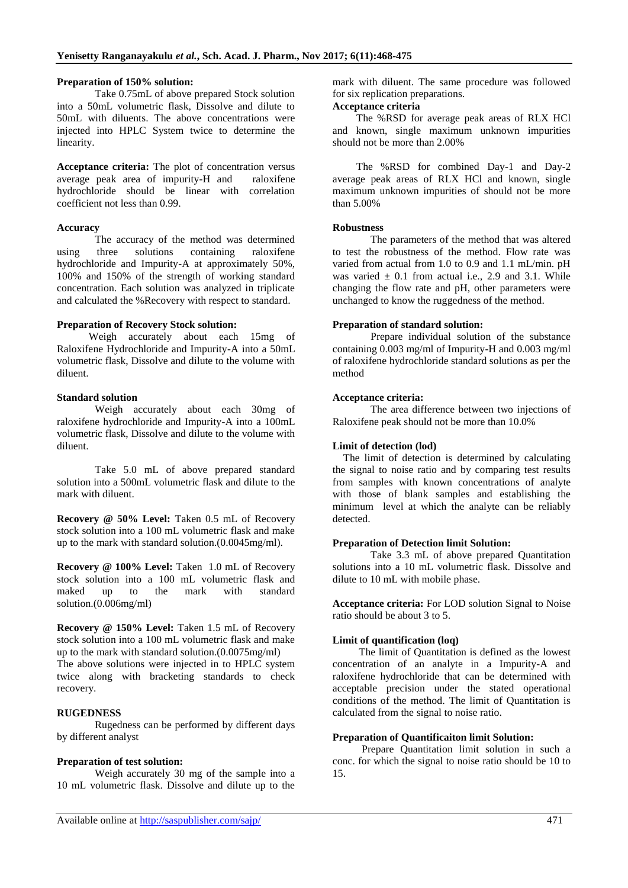### **Preparation of 150% solution:**

Take 0.75mL of above prepared Stock solution into a 50mL volumetric flask, Dissolve and dilute to 50mL with diluents. The above concentrations were injected into HPLC System twice to determine the linearity.

**Acceptance criteria:** The plot of concentration versus average peak area of impurity-H and raloxifene hydrochloride should be linear with correlation coefficient not less than 0.99.

# **Accuracy**

The accuracy of the method was determined using three solutions containing raloxifene hydrochloride and Impurity-A at approximately 50%, 100% and 150% of the strength of working standard concentration. Each solution was analyzed in triplicate and calculated the %Recovery with respect to standard.

#### **Preparation of Recovery Stock solution:**

 Weigh accurately about each 15mg of Raloxifene Hydrochloride and Impurity-A into a 50mL volumetric flask, Dissolve and dilute to the volume with diluent.

# **Standard solution**

Weigh accurately about each 30mg of raloxifene hydrochloride and Impurity-A into a 100mL volumetric flask, Dissolve and dilute to the volume with diluent.

Take 5.0 mL of above prepared standard solution into a 500mL volumetric flask and dilute to the mark with diluent.

**Recovery @ 50% Level:** Taken 0.5 mL of Recovery stock solution into a 100 mL volumetric flask and make up to the mark with standard solution.(0.0045mg/ml).

Recovery @ 100% Level: Taken 1.0 mL of Recovery stock solution into a 100 mL volumetric flask and maked up to the mark with standard solution.(0.006mg/ml)

**Recovery @ 150% Level:** Taken 1.5 mL of Recovery stock solution into a 100 mL volumetric flask and make up to the mark with standard solution.(0.0075mg/ml) The above solutions were injected in to HPLC system twice along with bracketing standards to check recovery.

# **RUGEDNESS**

Rugedness can be performed by different days by different analyst

# **Preparation of test solution:**

Weigh accurately 30 mg of the sample into a 10 mL volumetric flask. Dissolve and dilute up to the

mark with diluent. The same procedure was followed for six replication preparations.

# **Acceptance criteria**

The %RSD for average peak areas of RLX HCl and known, single maximum unknown impurities should not be more than 2.00%

The %RSD for combined Day-1 and Day-2 average peak areas of RLX HCl and known, single maximum unknown impurities of should not be more than 5.00%

#### **Robustness**

The parameters of the method that was altered to test the robustness of the method. Flow rate was varied from actual from 1.0 to 0.9 and 1.1 mL/min. pH was varied  $\pm$  0.1 from actual i.e., 2.9 and 3.1. While changing the flow rate and pH, other parameters were unchanged to know the ruggedness of the method.

#### **Preparation of standard solution:**

Prepare individual solution of the substance containing 0.003 mg/ml of Impurity-H and 0.003 mg/ml of raloxifene hydrochloride standard solutions as per the method

# **Acceptance criteria:**

The area difference between two injections of Raloxifene peak should not be more than 10.0%

# **Limit of detection (lod)**

The limit of detection is determined by calculating the signal to noise ratio and by comparing test results from samples with known concentrations of analyte with those of blank samples and establishing the minimum level at which the analyte can be reliably detected.

# **Preparation of Detection limit Solution:**

Take 3.3 mL of above prepared Quantitation solutions into a 10 mL volumetric flask. Dissolve and dilute to 10 mL with mobile phase.

**Acceptance criteria:** For LOD solution Signal to Noise ratio should be about 3 to 5.

# **Limit of quantification (loq)**

 The limit of Quantitation is defined as the lowest concentration of an analyte in a Impurity-A and raloxifene hydrochloride that can be determined with acceptable precision under the stated operational conditions of the method. The limit of Quantitation is calculated from the signal to noise ratio.

# **Preparation of Quantificaiton limit Solution:**

 Prepare Quantitation limit solution in such a conc. for which the signal to noise ratio should be 10 to 15.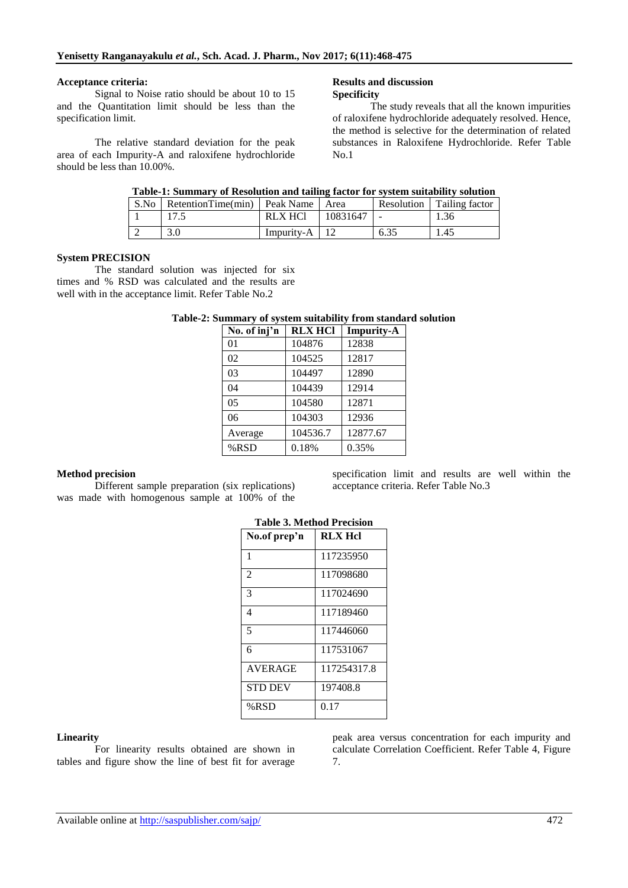#### **Acceptance criteria:**

Signal to Noise ratio should be about 10 to 15 and the Quantitation limit should be less than the specification limit.

The relative standard deviation for the peak area of each Impurity-A and raloxifene hydrochloride should be less than 10.00%.

#### **Results and discussion Specificity**

The study reveals that all the known impurities of raloxifene hydrochloride adequately resolved. Hence, the method is selective for the determination of related substances in Raloxifene Hydrochloride. Refer Table No.1

|  | Table-1: Summary of Resolution and tailing factor for system suitability solution |  |
|--|-----------------------------------------------------------------------------------|--|
|  |                                                                                   |  |
|  |                                                                                   |  |

| S.No | RetentionTime(min) Peak Name |                | Area     | Resolution | Tailing factor |
|------|------------------------------|----------------|----------|------------|----------------|
|      |                              | <b>RLX HCI</b> | 10831647 |            | 1.36           |
|      |                              | Impurity-A     |          | 6.35       | 1.45           |

#### **System PRECISION**

The standard solution was injected for six times and % RSD was calculated and the results are well with in the acceptance limit. Refer Table No.2

# **Table-2: Summary of system suitability from standard solution**

| No. of inj'n   | <b>RLX HCI</b> | <b>Impurity-A</b> |
|----------------|----------------|-------------------|
| 01             | 104876         | 12838             |
| 02             | 104525         | 12817             |
| 03             | 104497         | 12890             |
| 04             | 104439         | 12914             |
| 0 <sub>5</sub> | 104580         | 12871             |
| 06             | 104303         | 12936             |
| Average        | 104536.7       | 12877.67          |
| %RSD           | 0.18%          | 0.35%             |

# **Method precision**

Different sample preparation (six replications) was made with homogenous sample at 100% of the specification limit and results are well within the acceptance criteria. Refer Table No.3

| Table 5. Melliod Frecision |                |  |  |  |  |
|----------------------------|----------------|--|--|--|--|
| No.of prep'n               | <b>RLX Hcl</b> |  |  |  |  |
| 1                          | 117235950      |  |  |  |  |
| $\overline{2}$             | 117098680      |  |  |  |  |
| 3                          | 117024690      |  |  |  |  |
| 4                          | 117189460      |  |  |  |  |
| 5                          | 117446060      |  |  |  |  |
| 6                          | 117531067      |  |  |  |  |
| <b>AVERAGE</b>             | 117254317.8    |  |  |  |  |
| <b>STD DEV</b>             | 197408.8       |  |  |  |  |
| %RSD                       | 0.17           |  |  |  |  |

# **Table 3. Method Precision**

#### **Linearity**

For linearity results obtained are shown in tables and figure show the line of best fit for average

peak area versus concentration for each impurity and calculate Correlation Coefficient. Refer Table 4, Figure 7.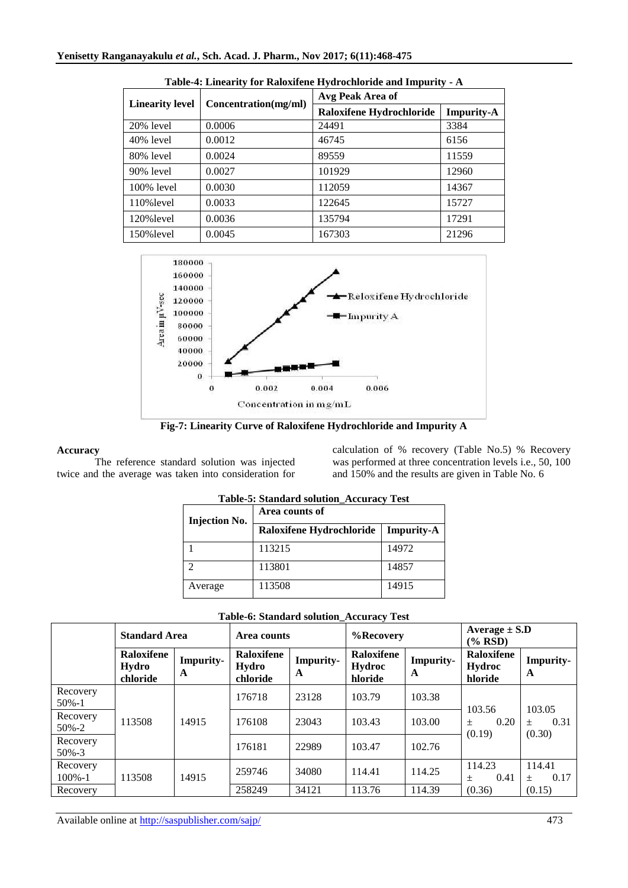| <b>Linearity level</b> | Concentration(mg/ml) | Avg Peak Area of         |                   |  |  |
|------------------------|----------------------|--------------------------|-------------------|--|--|
|                        |                      | Raloxifene Hydrochloride | <b>Impurity-A</b> |  |  |
| 20% level              | 0.0006               | 24491                    | 3384              |  |  |
| 40% level              | 0.0012               | 46745                    | 6156              |  |  |
| 80% level              | 0.0024               | 89559                    | 11559             |  |  |
| 90% level              | 0.0027               | 101929                   | 12960             |  |  |
| $100\%$ level          | 0.0030               | 112059                   | 14367             |  |  |
| 110% level             | 0.0033               | 122645                   | 15727             |  |  |
| 120% level             | 0.0036               | 135794                   | 17291             |  |  |
| 150% level             | 0.0045               | 167303                   | 21296             |  |  |



**Fig-7: Linearity Curve of Raloxifene Hydrochloride and Impurity A**

# **Accuracy**

The reference standard solution was injected twice and the average was taken into consideration for calculation of % recovery (Table No.5) % Recovery was performed at three concentration levels i.e., 50, 100 and 150% and the results are given in Table No. 6

| <b>Injection No.</b> | Area counts of           |                   |  |  |  |
|----------------------|--------------------------|-------------------|--|--|--|
|                      | Raloxifene Hydrochloride | <b>Impurity-A</b> |  |  |  |
|                      | 113215                   | 14972             |  |  |  |
|                      | 113801                   | 14857             |  |  |  |
| Average              | 113508                   | 14915             |  |  |  |

|  | <b>Table-5: Standard solution_Accuracy Test</b> |  |
|--|-------------------------------------------------|--|
|  |                                                 |  |

|  |  |  | Table-6: Standard solution_Accuracy Test |  |
|--|--|--|------------------------------------------|--|
|--|--|--|------------------------------------------|--|

|                         | <b>Standard Area</b>            |                       | Area counts                     |                       | %Recovery                       |                       | Average $\pm$ S.D<br>$(\%$ RSD) |                       |
|-------------------------|---------------------------------|-----------------------|---------------------------------|-----------------------|---------------------------------|-----------------------|---------------------------------|-----------------------|
|                         | Raloxifene<br>Hydro<br>chloride | <b>Impurity-</b><br>A | Raloxifene<br>Hydro<br>chloride | <b>Impurity-</b><br>A | Raloxifene<br>Hydroc<br>hloride | <b>Impurity-</b><br>A | Raloxifene<br>Hydroc<br>hloride | <b>Impurity-</b><br>A |
| Recovery<br>$50\% - 1$  |                                 |                       | 176718                          | 23128                 | 103.79                          | 103.38                | 103.56                          | 103.05                |
| Recovery<br>$50\% - 2$  | 113508                          | 14915                 | 176108                          | 23043                 | 103.43                          | 103.00                | 0.20<br>$+$<br>(0.19)           | 0.31<br>$+$<br>(0.30) |
| Recovery<br>$50\% - 3$  |                                 |                       | 176181                          | 22989                 | 103.47                          | 102.76                |                                 |                       |
| Recovery<br>$100\% - 1$ | 113508                          | 14915                 | 259746                          | 34080                 | 114.41                          | 114.25                | 114.23<br>0.41<br>$+$           | 114.41<br>0.17<br>$+$ |
| Recovery                |                                 |                       | 258249                          | 34121                 | 113.76                          | 114.39                | (0.36)                          | (0.15)                |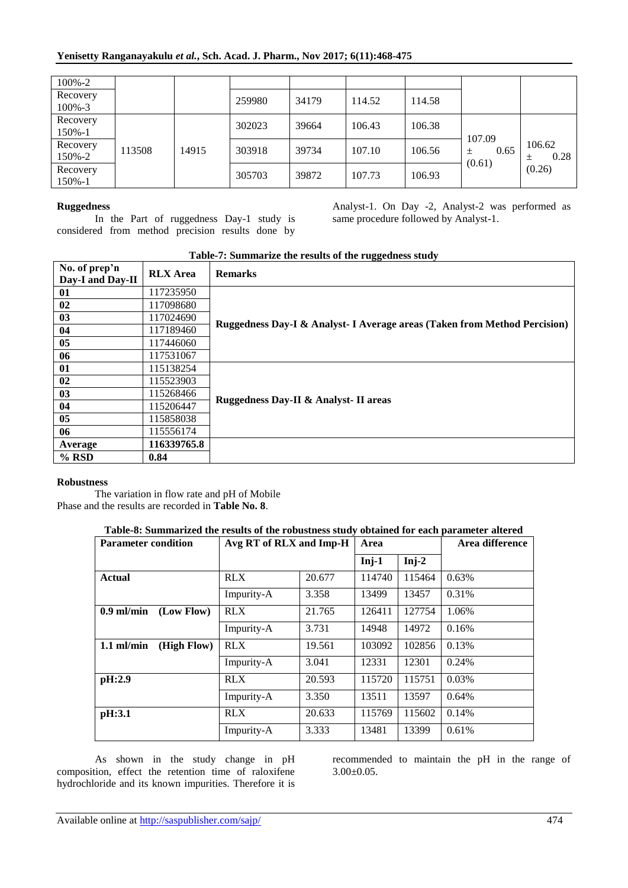| 100%-2      |        |       |        |       |        |        |                |           |
|-------------|--------|-------|--------|-------|--------|--------|----------------|-----------|
| Recovery    |        |       | 259980 | 34179 | 114.52 | 114.58 |                |           |
| $100\% - 3$ |        |       |        |       |        |        |                |           |
| Recovery    |        |       | 302023 | 39664 | 106.43 | 106.38 |                |           |
| 150%-1      |        |       |        |       |        |        |                |           |
| Recovery    | 113508 | 14915 | 303918 | 39734 | 107.10 | 106.56 | 107.09<br>0.65 | 106.62    |
| 150%-2      |        |       |        |       |        |        | 土<br>(0.61)    | 0.28<br>土 |
| Recovery    |        |       | 305703 | 39872 | 107.73 | 106.93 |                | (0.26)    |
| 150%-1      |        |       |        |       |        |        |                |           |

# **Ruggedness**

In the Part of ruggedness Day-1 study is considered from method precision results done by

Analyst-1. On Day -2, Analyst-2 was performed as same procedure followed by Analyst-1.

| Table-7: Summarize the results of the ruggedness study |                 |                                                                           |  |  |  |
|--------------------------------------------------------|-----------------|---------------------------------------------------------------------------|--|--|--|
| No. of prep'n                                          | <b>RLX</b> Area | <b>Remarks</b>                                                            |  |  |  |
| Day-I and Day-II                                       |                 |                                                                           |  |  |  |
| 01                                                     | 117235950       |                                                                           |  |  |  |
| 02                                                     | 117098680       |                                                                           |  |  |  |
| 03                                                     | 117024690       |                                                                           |  |  |  |
| 04                                                     | 117189460       | Ruggedness Day-I & Analyst- I Average areas (Taken from Method Percision) |  |  |  |
| 05                                                     | 117446060       |                                                                           |  |  |  |
| 06                                                     | 117531067       |                                                                           |  |  |  |
| 01                                                     | 115138254       |                                                                           |  |  |  |
| 02                                                     | 115523903       |                                                                           |  |  |  |
| 03                                                     | 115268466       |                                                                           |  |  |  |
| 04                                                     | 115206447       | Ruggedness Day-II & Analyst-II areas                                      |  |  |  |
| 05                                                     | 115858038       |                                                                           |  |  |  |
| 06                                                     | 115556174       |                                                                           |  |  |  |
| Average                                                | 116339765.8     |                                                                           |  |  |  |
| $%$ RSD                                                | 0.84            |                                                                           |  |  |  |

# **Table-7: Summarize the results of the ruggedness study**

#### **Robustness**

The variation in flow rate and pH of Mobile Phase and the results are recorded in **Table No. 8**.

# **Table-8: Summarized the results of the robustness study obtained for each parameter altered**

| <b>Parameter condition</b>  | Avg RT of RLX and Imp-H |        | Area    |         | Area difference |
|-----------------------------|-------------------------|--------|---------|---------|-----------------|
|                             |                         |        | $Inj-1$ | $Inj-2$ |                 |
| <b>Actual</b>               | <b>RLX</b>              | 20.677 | 114740  | 115464  | 0.63%           |
|                             | Impurity-A              | 3.358  | 13499   | 13457   | 0.31%           |
| (Low Flow)<br>$0.9$ ml/min  | <b>RLX</b>              | 21.765 | 126411  | 127754  | 1.06%           |
|                             | Impurity-A              | 3.731  | 14948   | 14972   | 0.16%           |
| (High Flow)<br>$1.1$ ml/min | <b>RLX</b>              | 19.561 | 103092  | 102856  | 0.13%           |
|                             | Impurity-A              | 3.041  | 12331   | 12301   | 0.24%           |
| pH:2.9                      | <b>RLX</b>              | 20.593 | 115720  | 115751  | 0.03%           |
|                             | Impurity-A              | 3.350  | 13511   | 13597   | 0.64%           |
| pH:3.1                      | <b>RLX</b>              | 20.633 | 115769  | 115602  | 0.14%           |
|                             | Impurity-A              | 3.333  | 13481   | 13399   | 0.61%           |

As shown in the study change in pH composition, effect the retention time of raloxifene hydrochloride and its known impurities. Therefore it is recommended to maintain the pH in the range of 3.00±0.05.

Available online at<http://saspublisher.com/sajp/> 474